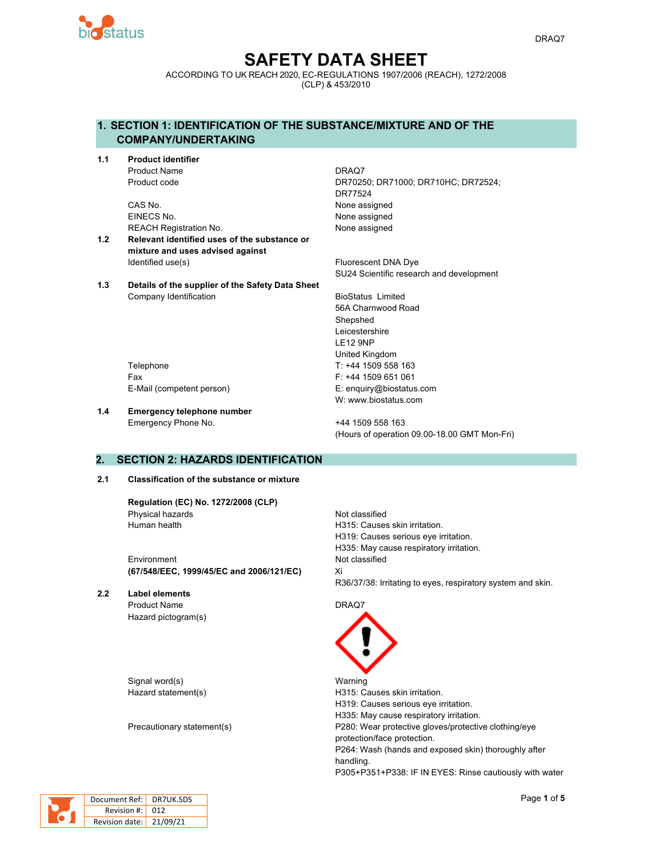

# **SAFETY DATA SHEET**

ACCORDING TO UK REACH 2020, EC-REGULATIONS 1907/2006 (REACH), 1272/2008 (CLP) & 453/2010

# **1. SECTION 1: IDENTIFICATION OF THE SUBSTANCE/MIXTURE AND OF THE COMPANY/UNDERTAKING**

**1.1 Product identifier** Product Name DRAQ7

> CAS No. 2008 2012 12:30 None assigned EINECS No. 2008 2009 2012 12:30 None assigned REACH Registration No. None assigned

- **1.2 Relevant identified uses of the substance or mixture and uses advised against** Identified use(s) The Contract Contract Contract Contract Contract Contract Contract Contract Contract Contract Contract Contract Contract Contract Contract Contract Contract Contract Contract Contract Contract Contract Co
- **1.3 Details of the supplier of the Safety Data Sheet** Company Identification **BioStatus Limited**

Product code DR70250; DR71000; DR710HC; DR72524; DR77524

SU24 Scientific research and development

56A Charnwood Road Shepshed Leicestershire LE12 9NP United Kingdom Telephone T: +44 1509 558 163 Fax F: +44 1509 651 061 E-Mail (competent person) E: enquiry@biostatus.com W: www.biostatus.com

**1.4 Emergency telephone number**

Emergency Phone No. 444 1509 558 163 (Hours of operation 09.00-18.00 GMT Mon-Fri)

# **2. SECTION 2: HAZARDS IDENTIFICATION**

#### **2.1 Classification of the substance or mixture**

**Regulation (EC) No. 1272/2008 (CLP)** Physical hazards Not classified Human health **H315:** Causes skin irritation.

Environment Not classified **(67/548/EEC, 1999/45/EC and 2006/121/EC)** Xi

**2.2 Label elements** Product Name DRAQ7 Hazard pictogram(s)

Signal word(s) Warning

H319: Causes serious eye irritation. H335: May cause respiratory irritation. R36/37/38: Irritating to eyes, respiratory system and skin.

Hazard statement(s) example a H315: Causes skin irritation. H319: Causes serious eye irritation. H335: May cause respiratory irritation. Precautionary statement(s) The Range P280: Wear protective gloves/protective clothing/eye protection/face protection. P264: Wash (hands and exposed skin) thoroughly after handling. P305+P351+P338: IF IN EYES: Rinse cautiously with water



Docu

| )ocument Ref:  | DR7UK.SDS |
|----------------|-----------|
| Revision #:    | -012      |
| Revision date: | 21/09/21  |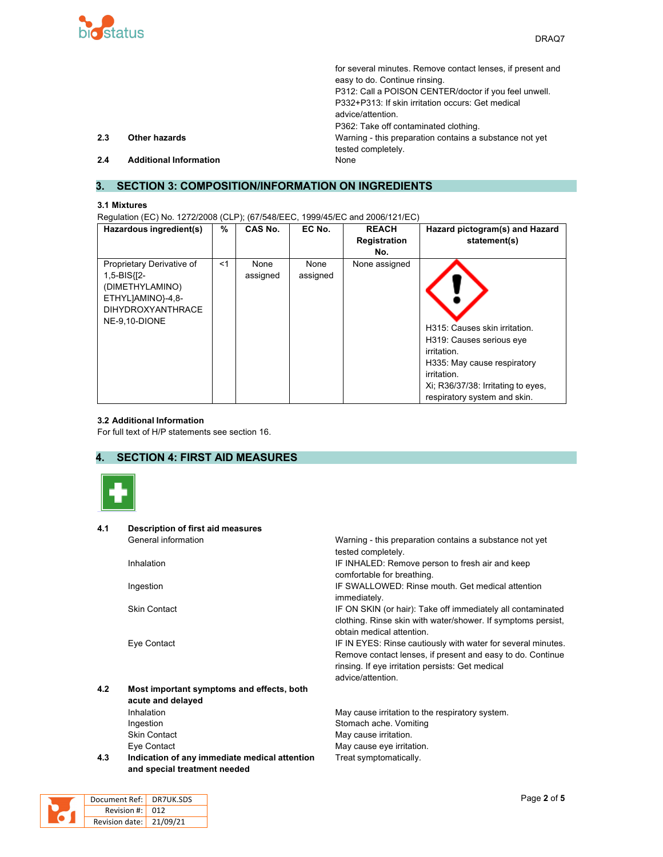

|     |                               | for several minutes. Remove contact lenses, if present and |
|-----|-------------------------------|------------------------------------------------------------|
|     |                               | easy to do. Continue rinsing.                              |
|     |                               | P312: Call a POISON CENTER/doctor if you feel unwell.      |
|     |                               | P332+P313: If skin irritation occurs: Get medical          |
|     |                               | advice/attention.                                          |
|     |                               | P362: Take off contaminated clothing.                      |
| 2.3 | <b>Other hazards</b>          | Warning - this preparation contains a substance not yet    |
|     |                               | tested completely.                                         |
| 2.4 | <b>Additional Information</b> | None                                                       |

# **3. SECTION 3: COMPOSITION/INFORMATION ON INGREDIENTS**

#### **3.1 Mixtures**

Regulation (EC) No. 1272/2008 (CLP); (67/548/EEC, 1999/45/EC and 2006/121/EC)

| Hazardous ingredient(s)                                                                                                           | %     | CAS No.          | EC No.           | <b>REACH</b><br><b>Registration</b><br>No. | Hazard pictogram(s) and Hazard<br>statement(s)                                                                                                                                               |
|-----------------------------------------------------------------------------------------------------------------------------------|-------|------------------|------------------|--------------------------------------------|----------------------------------------------------------------------------------------------------------------------------------------------------------------------------------------------|
| Proprietary Derivative of<br>$1,5-BIS$ $I2-$<br>(DIMETHYLAMINO)<br>ETHYLJAMINO}-4,8-<br><b>DIHYDROXYANTHRACE</b><br>NE-9.10-DIONE | $<$ 1 | None<br>assigned | None<br>assigned | None assigned                              | H315: Causes skin irritation.<br>H319: Causes serious eye<br>irritation.<br>H335: May cause respiratory<br>irritation.<br>Xi; R36/37/38: Irritating to eyes,<br>respiratory system and skin. |

## **3.2 Additional Information**

For full text of H/P statements see section 16.

# **4. SECTION 4: FIRST AID MEASURES**



| 4.1 | <b>Description of first aid measures</b>      |                                                                                           |
|-----|-----------------------------------------------|-------------------------------------------------------------------------------------------|
|     | General information                           | Warning - this preparation contains a substance not yet                                   |
|     |                                               | tested completely.                                                                        |
|     | Inhalation                                    | IF INHALED: Remove person to fresh air and keep                                           |
|     |                                               | comfortable for breathing.                                                                |
|     | Ingestion                                     | IF SWALLOWED: Rinse mouth. Get medical attention<br>immediately.                          |
|     | <b>Skin Contact</b>                           | IF ON SKIN (or hair): Take off immediately all contaminated                               |
|     |                                               |                                                                                           |
|     |                                               | clothing. Rinse skin with water/shower. If symptoms persist,<br>obtain medical attention. |
|     |                                               |                                                                                           |
|     | Eye Contact                                   | IF IN EYES: Rinse cautiously with water for several minutes.                              |
|     |                                               | Remove contact lenses, if present and easy to do. Continue                                |
|     |                                               | rinsing. If eye irritation persists: Get medical                                          |
|     |                                               | advice/attention.                                                                         |
| 4.2 | Most important symptoms and effects, both     |                                                                                           |
|     | acute and delayed                             |                                                                                           |
|     | Inhalation                                    | May cause irritation to the respiratory system.                                           |
|     | Ingestion                                     | Stomach ache. Vomiting                                                                    |
|     | <b>Skin Contact</b>                           | May cause irritation.                                                                     |
|     | Eye Contact                                   | May cause eye irritation.                                                                 |
| 4.3 | Indication of any immediate medical attention | Treat symptomatically.                                                                    |
|     | and special treatment needed                  |                                                                                           |

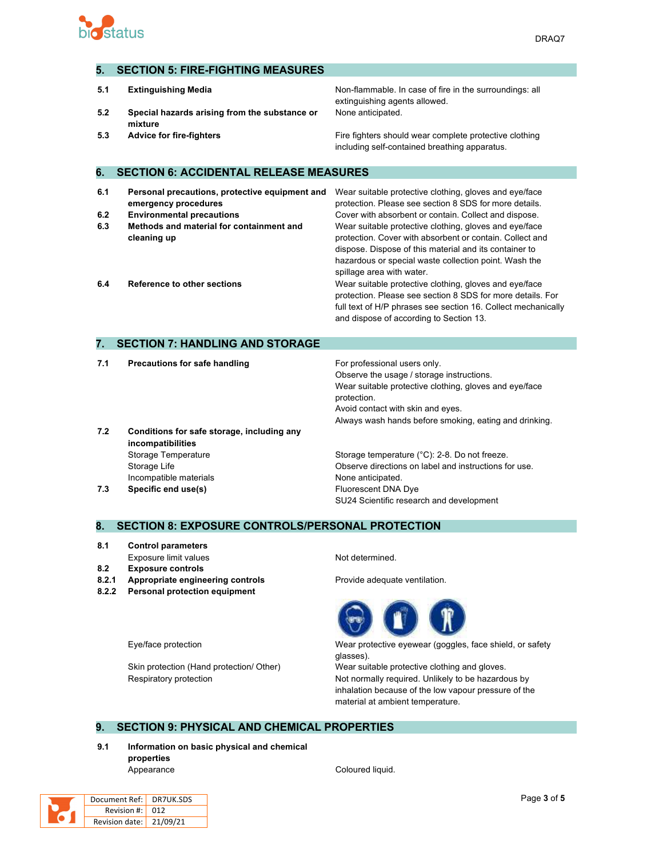

# **5. SECTION 5: FIRE-FIGHTING MEASURES**

- 
- **5.2 Special hazards arising from the substance or mixture**

**5.1 Extinguishing Media Non-flammable. In case of fire in the surroundings: all** extinguishing agents allowed. None anticipated.

**5.3 Advice for fire-fighters Fire fighters** Fire fighters should wear complete protective clothing including self-contained breathing apparatus.

# **6. SECTION 6: ACCIDENTAL RELEASE MEASURES**

| 6.1 | Personal precautions, protective equipment and | Wear suitable protective clothing, gloves and eye/face        |
|-----|------------------------------------------------|---------------------------------------------------------------|
|     | emergency procedures                           | protection. Please see section 8 SDS for more details.        |
| 6.2 | <b>Environmental precautions</b>               | Cover with absorbent or contain. Collect and dispose.         |
| 6.3 | Methods and material for containment and       | Wear suitable protective clothing, gloves and eye/face        |
|     | cleaning up                                    | protection. Cover with absorbent or contain. Collect and      |
|     |                                                | dispose. Dispose of this material and its container to        |
|     |                                                | hazardous or special waste collection point. Wash the         |
|     |                                                | spillage area with water.                                     |
| 6.4 | <b>Reference to other sections</b>             | Wear suitable protective clothing, gloves and eye/face        |
|     |                                                | protection. Please see section 8 SDS for more details. For    |
|     |                                                | full text of H/P phrases see section 16. Collect mechanically |

## **7. SECTION 7: HANDLING AND STORAGE**

**7.1 Precautions for safe handling For professional users only.** 

Observe the usage / storage instructions. Wear suitable protective clothing, gloves and eye/face protection. Avoid contact with skin and eyes. Always wash hands before smoking, eating and drinking.

and dispose of according to Section 13.

- **7.2 Conditions for safe storage, including any incompatibilities** Storage Temperature **Storage temperature (°C):** 2-8. Do not freeze. Incompatible materials **None anticipated** None anticipated.
- 

Storage Life **Conservent Conserve directions on label and instructions for use. 7.3 Specific end use(s) Eluorescent DNA Dye** SU24 Scientific research and development

#### **8. SECTION 8: EXPOSURE CONTROLS/PERSONAL PROTECTION**

- **8.1 Control parameters**
- **8.2 Exposure controls**
- 
- **8.2.2 Personal protection equipment**
- 

Exposure limit values Not determined.

**8.2.1 Appropriate engineering controls** Provide adequate ventilation.



Eye/face protection Wear protective eyewear (goggles, face shield, or safety glasses).

Skin protection (Hand protection/ Other) Wear suitable protective clothing and gloves. Respiratory protection **Not include the Section Not normally required.** Unlikely to be hazardous by inhalation because of the low vapour pressure of the material at ambient temperature.

## **9. SECTION 9: PHYSICAL AND CHEMICAL PROPERTIES**

**9.1 Information on basic physical and chemical properties** Appearance Coloured liquid.



| Document Ref: <mark>I</mark> | DR7UK.SDS |
|------------------------------|-----------|
| Revision #: 012              |           |
| Revision date: 21/09/21      |           |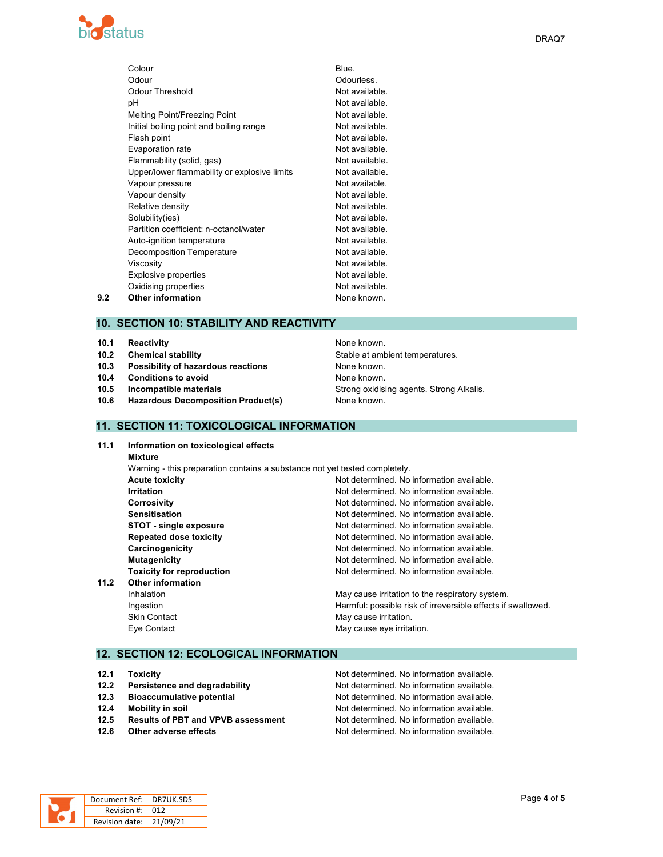

|     | Colour                                       | Blue.          |
|-----|----------------------------------------------|----------------|
|     | Odour                                        | Odourless.     |
|     | <b>Odour Threshold</b>                       | Not available. |
|     | рH                                           | Not available. |
|     | Melting Point/Freezing Point                 | Not available. |
|     | Initial boiling point and boiling range      | Not available. |
|     | Flash point                                  | Not available. |
|     | Evaporation rate                             | Not available. |
|     | Flammability (solid, gas)                    | Not available. |
|     | Upper/lower flammability or explosive limits | Not available. |
|     | Vapour pressure                              | Not available. |
|     | Vapour density                               | Not available. |
|     | Relative density                             | Not available. |
|     | Solubility(ies)                              | Not available. |
|     | Partition coefficient: n-octanol/water       | Not available. |
|     | Auto-ignition temperature                    | Not available. |
|     | Decomposition Temperature                    | Not available. |
|     | Viscosity                                    | Not available. |
|     | <b>Explosive properties</b>                  | Not available. |
|     | Oxidising properties                         | Not available. |
| 9.2 | <b>Other information</b>                     | None known.    |
|     |                                              |                |

## **10. SECTION 10: STABILITY AND REACTIVITY**

- **10.1 Reactivity 10.1 Reactivity 10.1 Reactivity**
- 
- **10.3 Possibility of hazardous reactions** None known.
- **10.4 Conditions to avoid 10.4 Conditions to avoid 10.4 None known.**
- 
- **10.6 Hazardous Decomposition Product(s)** None known.

**10.2 Chemical stability 10.2 Chemical stability** Stable at ambient temperatures. **10.5 Incompatible materials Strong oxidising agents. Strong Alkalis.** Strong Alkalis.

## **11. SECTION 11: TOXICOLOGICAL INFORMATION**

**11.1 Information on toxicological effects Mixture** Warning - this preparation contains a substance not yet tested completely. **Acute toxicity Not determined. No information available.** Not **Acute** toxicity **Irritation Irritation Irritation In In Not** determined. No information available. **Corrosivity** Corrosivity **Corrosivity Not determined.** No information available. **Sensitisation Not determined. No information available.** No information available. **STOT** - **single exposure**  $\blacksquare$  Not determined. No information available. **Repeated dose toxicity Not determined. No information available.** Not determined. No information available. **Carcinogenicity Carcinogenicity Not determined.** No information available. **Mutagenicity Mutagenicity Not determined.** No information available. **Toxicity for reproduction Not determined.** No information available. **11.2 Other information** Inhalation **May cause irritation** to the respiratory system. Ingestion **Harmful:** possible risk of irreversible effects if swallowed. Skin Contact **May cause irritation**. Eye Contact **May cause eye irritation.** 

# **12. SECTION 12: ECOLOGICAL INFORMATION**

- 
- 
- 
- 
- 
- 

**12.1 Toxicity 12.1 Toxicity 12.1 Toxicity 12.1 Toxicity 12.1 Not determined. No information available. 12.2 Persistence and degradability Mot determined. No information available. 12.3 Bioaccumulative potential 12.3 Not determined. No information available. 12.4 Mobility in soil inclusion in**  $\blacksquare$  Not determined. No information available. **12.5 Results of PBT and VPVB assessment** Not determined. No information available. **12.6** Other adverse effects **Notify**  $\blacksquare$  Not determined. No information available.